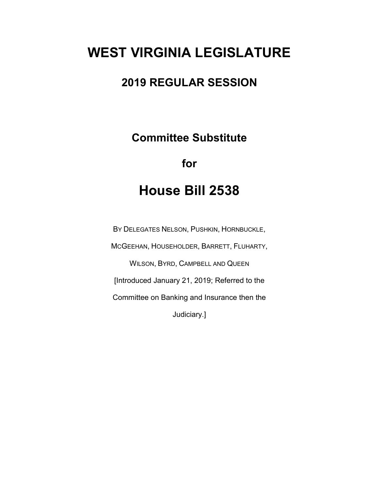# **WEST VIRGINIA LEGISLATURE**

### **2019 REGULAR SESSION**

**Committee Substitute**

**for**

## **House Bill 2538**

BY DELEGATES NELSON, PUSHKIN, HORNBUCKLE, MCGEEHAN, HOUSEHOLDER, BARRETT, FLUHARTY, WILSON, BYRD, CAMPBELL AND QUEEN [Introduced January 21, 2019; Referred to the Committee on Banking and Insurance then the Judiciary.]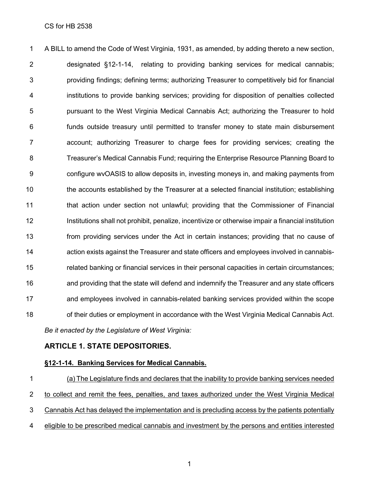A BILL to amend the Code of West Virginia, 1931, as amended, by adding thereto a new section, designated §12-1-14, relating to providing banking services for medical cannabis; providing findings; defining terms; authorizing Treasurer to competitively bid for financial institutions to provide banking services; providing for disposition of penalties collected pursuant to the West Virginia Medical Cannabis Act; authorizing the Treasurer to hold funds outside treasury until permitted to transfer money to state main disbursement account; authorizing Treasurer to charge fees for providing services; creating the Treasurer's Medical Cannabis Fund; requiring the Enterprise Resource Planning Board to configure wvOASIS to allow deposits in, investing moneys in, and making payments from the accounts established by the Treasurer at a selected financial institution; establishing that action under section not unlawful; providing that the Commissioner of Financial Institutions shall not prohibit, penalize, incentivize or otherwise impair a financial institution from providing services under the Act in certain instances; providing that no cause of action exists against the Treasurer and state officers and employees involved in cannabis- related banking or financial services in their personal capacities in certain circumstances; and providing that the state will defend and indemnify the Treasurer and any state officers and employees involved in cannabis-related banking services provided within the scope 18 of their duties or employment in accordance with the West Virginia Medical Cannabis Act. *Be it enacted by the Legislature of West Virginia:*

### **ARTICLE 1. STATE DEPOSITORIES.**

### **§12-1-14. Banking Services for Medical Cannabis.**

 (a) The Legislature finds and declares that the inability to provide banking services needed 2 to collect and remit the fees, penalties, and taxes authorized under the West Virginia Medical Cannabis Act has delayed the implementation and is precluding access by the patients potentially eligible to be prescribed medical cannabis and investment by the persons and entities interested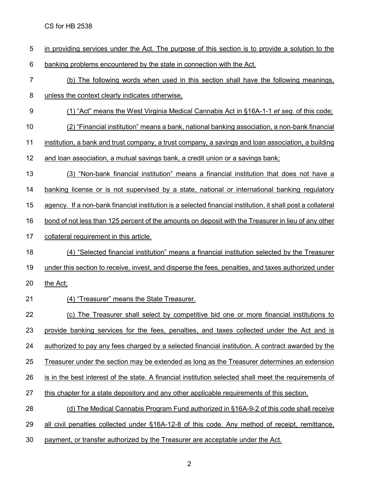| 5     | in providing services under the Act. The purpose of this section is to provide a solution to the                   |
|-------|--------------------------------------------------------------------------------------------------------------------|
| $\,6$ | banking problems encountered by the state in connection with the Act.                                              |
| 7     | (b) The following words when used in this section shall have the following meanings,                               |
| 8     | unless the context clearly indicates otherwise,                                                                    |
| 9     | (1) "Act" means the West Virginia Medical Cannabis Act in §16A-1-1 et seg. of this code;                           |
| 10    | (2) "Financial institution" means a bank, national banking association, a non-bank financial                       |
| 11    | institution, a bank and trust company, a trust company, a savings and loan association, a building                 |
| 12    | and loan association, a mutual savings bank, a credit union or a savings bank;                                     |
| 13    | (3) "Non-bank financial institution" means a financial institution that does not have a                            |
| 14    | banking license or is not supervised by a state, national or international banking regulatory                      |
| 15    | <u>agency. If a non-bank financial institution is a selected financial institution, it shall post a collateral</u> |
| 16    | bond of not less than 125 percent of the amounts on deposit with the Treasurer in lieu of any other                |
| 17    | collateral requirement in this article.                                                                            |
| 18    | (4) "Selected financial institution" means a financial institution selected by the Treasurer                       |
| 19    | under this section to receive, invest, and disperse the fees, penalties, and taxes authorized under                |
| 20    | the Act;                                                                                                           |
| 21    | (4) "Treasurer" means the State Treasurer.                                                                         |
| 22    | The Treasurer shall select by competitive bid one or more financial institutions to<br>(C)                         |
| 23    | provide banking services for the fees, penalties, and taxes collected under the Act and is                         |
| 24    | authorized to pay any fees charged by a selected financial institution. A contract awarded by the                  |
| 25    | Treasurer under the section may be extended as long as the Treasurer determines an extension                       |
| 26    | is in the best interest of the state. A financial institution selected shall meet the requirements of              |
| 27    | this chapter for a state depository and any other applicable requirements of this section.                         |
| 28    | (d) The Medical Cannabis Program Fund authorized in §16A-9-2 of this code shall receive                            |
| 29    | all civil penalties collected under §16A-12-8 of this code. Any method of receipt, remittance,                     |
| 30    | payment, or transfer authorized by the Treasurer are acceptable under the Act.                                     |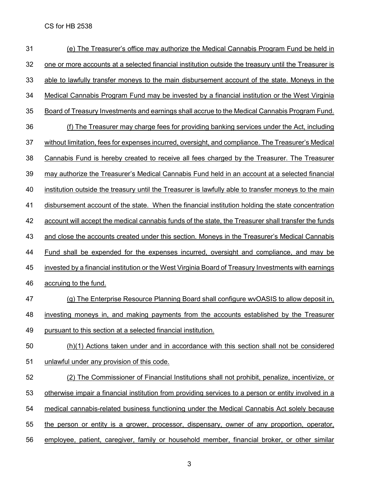| 31 | (e) The Treasurer's office may authorize the Medical Cannabis Program Fund be held in                |
|----|------------------------------------------------------------------------------------------------------|
| 32 | one or more accounts at a selected financial institution outside the treasury until the Treasurer is |
| 33 | able to lawfully transfer moneys to the main disbursement account of the state. Moneys in the        |
| 34 | Medical Cannabis Program Fund may be invested by a financial institution or the West Virginia        |
| 35 | Board of Treasury Investments and earnings shall accrue to the Medical Cannabis Program Fund.        |
| 36 | (f) The Treasurer may charge fees for providing banking services under the Act, including            |
| 37 | without limitation, fees for expenses incurred, oversight, and compliance. The Treasurer's Medical   |
| 38 | Cannabis Fund is hereby created to receive all fees charged by the Treasurer. The Treasurer          |
| 39 | may authorize the Treasurer's Medical Cannabis Fund held in an account at a selected financial       |
| 40 | institution outside the treasury until the Treasurer is lawfully able to transfer moneys to the main |
| 41 | disbursement account of the state. When the financial institution holding the state concentration    |
| 42 | account will accept the medical cannabis funds of the state, the Treasurer shall transfer the funds  |
| 43 | and close the accounts created under this section. Moneys in the Treasurer's Medical Cannabis        |
| 44 | <u>Fund shall be expended for the expenses incurred, oversight and compliance, and may be</u>        |
| 45 | invested by a financial institution or the West Virginia Board of Treasury Investments with earnings |
| 46 | accruing to the fund.                                                                                |
| 47 | (g) The Enterprise Resource Planning Board shall configure wvOASIS to allow deposit in,              |
| 48 | investing moneys in, and making payments from the accounts established by the Treasurer              |
| 49 | pursuant to this section at a selected financial institution.                                        |
| 50 | (h)(1) Actions taken under and in accordance with this section shall not be considered               |
| 51 | unlawful under any provision of this code.                                                           |
| 52 | (2) The Commissioner of Financial Institutions shall not prohibit, penalize, incentivize, or         |
| 53 | otherwise impair a financial institution from providing services to a person or entity involved in a |
| 54 | medical cannabis-related business functioning under the Medical Cannabis Act solely because          |
| 55 | the person or entity is a grower, processor, dispensary, owner of any proportion, operator,          |
| 56 | employee, patient, caregiver, family or household member, financial broker, or other similar         |